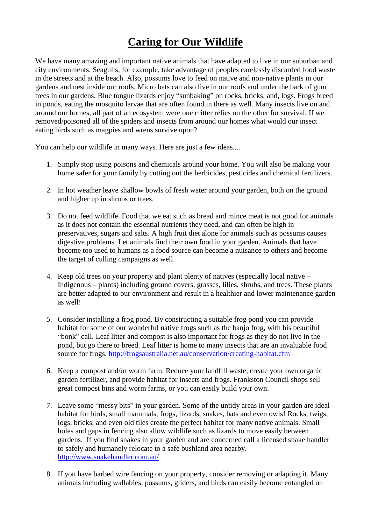## **Caring for Our Wildlife**

We have many amazing and important native animals that have adapted to live in our suburban and city environments. Seagulls, for example, take advantage of peoples carelessly discarded food waste in the streets and at the beach. Also, possums love to feed on native and non-native plants in our gardens and nest inside our roofs. Micro bats can also live in our roofs and under the bark of gum trees in our gardens. Blue tongue lizards enjoy "sunbaking" on rocks, bricks, and, logs. Frogs breed in ponds, eating the mosquito larvae that are often found in there as well. Many insects live on and around our homes, all part of an ecosystem were one critter relies on the other for survival. If we removed/poisoned all of the spiders and insects from around our homes what would our insect eating birds such as magpies and wrens survive upon?

You can help our wildlife in many ways. Here are just a few ideas....

- 1. Simply stop using poisons and chemicals around your home. You will also be making your home safer for your family by cutting out the herbicides, pesticides and chemical fertilizers.
- 2. In hot weather leave shallow bowls of fresh water around your garden, both on the ground and higher up in shrubs or trees.
- 3. Do not feed wildlife. Food that we eat such as bread and mince meat is not good for animals as it does not contain the essential nutrients they need, and can often be high in preservatives, sugars and salts. A high fruit diet alone for animals such as possums causes digestive problems. Let animals find their own food in your garden. Animals that have become too used to humans as a food source can become a nuisance to others and become the target of culling campaigns as well.
- 4. Keep old trees on your property and plant plenty of natives (especially local native Indigenous – plants) including ground covers, grasses, lilies, shrubs, and trees. These plants are better adapted to our environment and result in a healthier and lower maintenance garden as well!
- 5. Consider installing a frog pond. By constructing a suitable frog pond you can provide habitat for some of our wonderful native frogs such as the banjo frog, with his beautiful "bonk" call. Leaf litter and compost is also important for frogs as they do not live in the pond, but go there to breed. Leaf litter is home to many insects that are an invaluable food source for frogs. <http://frogsaustralia.net.au/conservation/creating-habitat.cfm>
- 6. Keep a compost and/or worm farm. Reduce your landfill waste, create your own organic garden fertilizer, and provide habitat for insects and frogs. Frankston Council shops sell great compost bins and worm farms, or you can easily build your own.
- 7. Leave some "messy bits" in your garden. Some of the untidy areas in your garden are ideal habitat for birds, small mammals, frogs, lizards, snakes, bats and even owls! Rocks, twigs, logs, bricks, and even old tiles create the perfect habitat for many native animals. Small holes and gaps in fencing also allow wildlife such as lizards to move easily between gardens. If you find snakes in your garden and are concerned call a licensed snake handler to safely and humanely relocate to a safe bushland area nearby. <http://www.snakehandler.com.au/>
- 8. If you have barbed wire fencing on your property, consider removing or adapting it. Many animals including wallabies, possums, gliders, and birds can easily become entangled on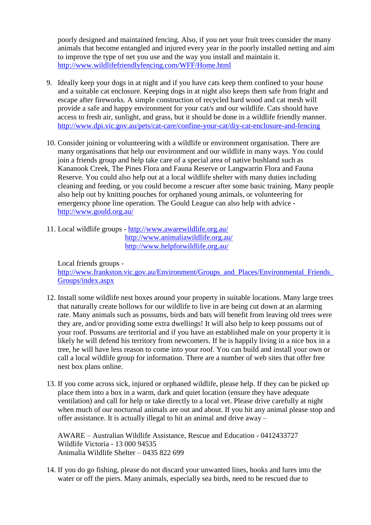poorly designed and maintained fencing. Also, if you net your fruit trees consider the many animals that become entangled and injured every year in the poorly installed netting and aim to improve the type of net you use and the way you install and maintain it. <http://www.wildlifefriendlyfencing.com/WFF/Home.html>

- 9. Ideally keep your dogs in at night and if you have cats keep them confined to your house and a suitable cat enclosure. Keeping dogs in at night also keeps them safe from fright and escape after fireworks. A simple construction of recycled hard wood and cat mesh will provide a safe and happy environment for your cat/s and our wildlife. Cats should have access to fresh air, sunlight, and grass, but it should be done in a wildlife friendly manner. <http://www.dpi.vic.gov.au/pets/cat-care/confine-your-cat/diy-cat-enclosure-and-fencing>
- 10. Consider joining or volunteering with a wildlife or environment organisation. There are many organisations that help our environment and our wildlife in many ways. You could join a friends group and help take care of a special area of native bushland such as Kananook Creek, The Pines Flora and Fauna Reserve or Langwarrin Flora and Fauna Reserve. You could also help out at a local wildlife shelter with many duties including cleaning and feeding, or you could become a rescuer after some basic training. Many people also help out by knitting pouches for orphaned young animals, or volunteering for emergency phone line operation. The Gould League can also help with advice <http://www.gould.org.au/>
- 11. Local wildlife groups <http://www.awarewildlife.org.au/> <http://www.animaliawildlife.org.au/> <http://www.helpforwildlife.org.au/>

Local friends groups http://www.frankston.vic.gov.au/Environment/Groups\_and\_Places/Environmental\_Friends [Groups/index.aspx](http://www.frankston.vic.gov.au/Environment/Groups_and_Places/Environmental_Friends_Groups/index.aspx)

- 12. Install some wildlife nest boxes around your property in suitable locations. Many large trees that naturally create hollows for our wildlife to live in are being cut down at an alarming rate. Many animals such as possums, birds and bats will benefit from leaving old trees were they are, and/or providing some extra dwellings! It will also help to keep possums out of your roof. Possums are territorial and if you have an established male on your property it is likely he will defend his territory from newcomers. If he is happily living in a nice box in a tree, he will have less reason to come into your roof. You can build and install your own or call a local wildlife group for information. There are a number of web sites that offer free nest box plans online.
- 13. If you come across sick, injured or orphaned wildlife, please help. If they can be picked up place them into a box in a warm, dark and quiet location (ensure they have adequate ventilation) and call for help or take directly to a local vet. Please drive carefully at night when much of our nocturnal animals are out and about. If you hit any animal please stop and offer assistance. It is actually illegal to hit an animal and drive away –

AWARE – Australian Wildlife Assistance, Rescue and Education - 0412433727 Wildlife Victoria - 13 000 94535 Animalia Wildlife Shelter – 0435 822 699

14. If you do go fishing, please do not discard your unwanted lines, hooks and lures into the water or off the piers. Many animals, especially sea birds, need to be rescued due to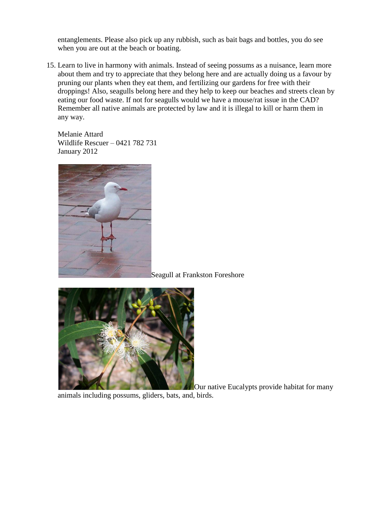entanglements. Please also pick up any rubbish, such as bait bags and bottles, you do see when you are out at the beach or boating.

15. Learn to live in harmony with animals. Instead of seeing possums as a nuisance, learn more about them and try to appreciate that they belong here and are actually doing us a favour by pruning our plants when they eat them, and fertilizing our gardens for free with their droppings! Also, seagulls belong here and they help to keep our beaches and streets clean by eating our food waste. If not for seagulls would we have a mouse/rat issue in the CAD? Remember all native animals are protected by law and it is illegal to kill or harm them in any way.

Melanie Attard Wildlife Rescuer – 0421 782 731 January 2012



Seagull at Frankston Foreshore



Our native Eucalypts provide habitat for many

animals including possums, gliders, bats, and, birds.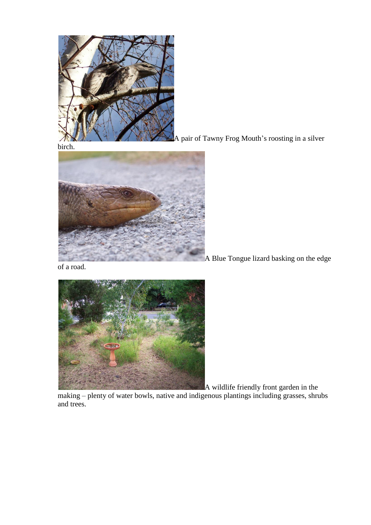

A pair of Tawny Frog Mouth's roosting in a silver



A Blue Tongue lizard basking on the edge

of a road.



A wildlife friendly front garden in the making – plenty of water bowls, native and indigenous plantings including grasses, shrubs and trees.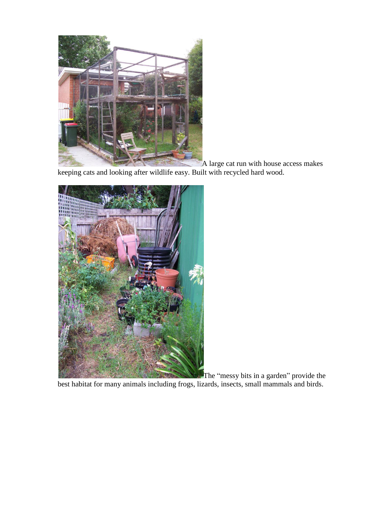

A large cat run with house access makes keeping cats and looking after wildlife easy. Built with recycled hard wood.



The "messy bits in a garden" provide the best habitat for many animals including frogs, lizards, insects, small mammals and birds.